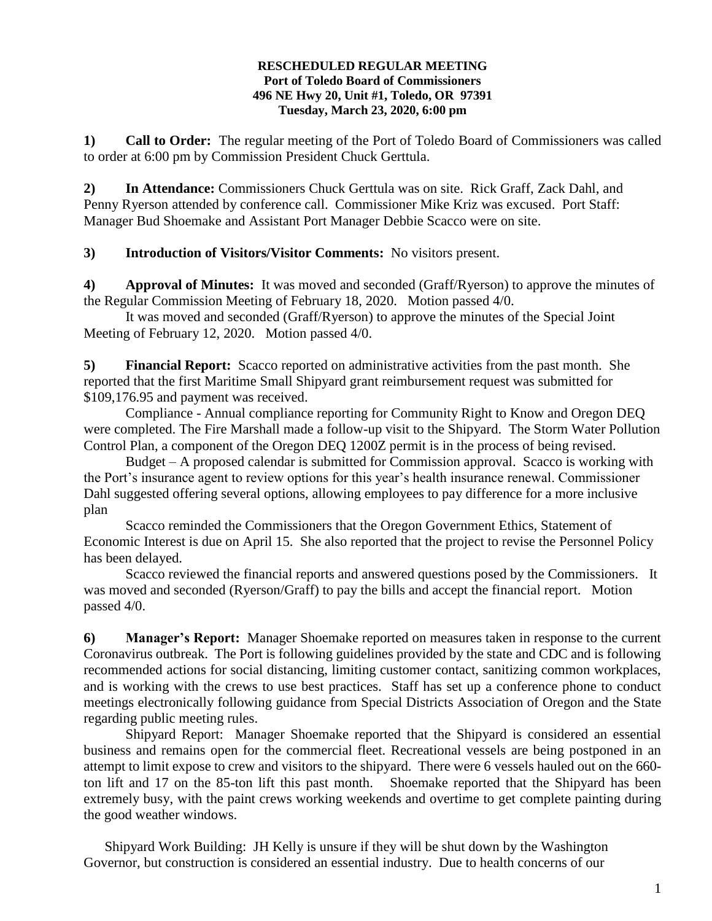## **RESCHEDULED REGULAR MEETING Port of Toledo Board of Commissioners 496 NE Hwy 20, Unit #1, Toledo, OR 97391 Tuesday, March 23, 2020, 6:00 pm**

**1) Call to Order:** The regular meeting of the Port of Toledo Board of Commissioners was called to order at 6:00 pm by Commission President Chuck Gerttula.

**2) In Attendance:** Commissioners Chuck Gerttula was on site. Rick Graff, Zack Dahl, and Penny Ryerson attended by conference call. Commissioner Mike Kriz was excused. Port Staff: Manager Bud Shoemake and Assistant Port Manager Debbie Scacco were on site.

**3) Introduction of Visitors/Visitor Comments:** No visitors present.

**4) Approval of Minutes:** It was moved and seconded (Graff/Ryerson) to approve the minutes of the Regular Commission Meeting of February 18, 2020. Motion passed 4/0.

It was moved and seconded (Graff/Ryerson) to approve the minutes of the Special Joint Meeting of February 12, 2020. Motion passed 4/0.

**5) Financial Report:** Scacco reported on administrative activities from the past month. She reported that the first Maritime Small Shipyard grant reimbursement request was submitted for \$109,176.95 and payment was received.

Compliance - Annual compliance reporting for Community Right to Know and Oregon DEQ were completed. The Fire Marshall made a follow-up visit to the Shipyard. The Storm Water Pollution Control Plan, a component of the Oregon DEQ 1200Z permit is in the process of being revised.

Budget – A proposed calendar is submitted for Commission approval. Scacco is working with the Port's insurance agent to review options for this year's health insurance renewal. Commissioner Dahl suggested offering several options, allowing employees to pay difference for a more inclusive plan

Scacco reminded the Commissioners that the Oregon Government Ethics, Statement of Economic Interest is due on April 15. She also reported that the project to revise the Personnel Policy has been delayed.

Scacco reviewed the financial reports and answered questions posed by the Commissioners. It was moved and seconded (Ryerson/Graff) to pay the bills and accept the financial report. Motion passed 4/0.

**6) Manager's Report:** Manager Shoemake reported on measures taken in response to the current Coronavirus outbreak. The Port is following guidelines provided by the state and CDC and is following recommended actions for social distancing, limiting customer contact, sanitizing common workplaces, and is working with the crews to use best practices. Staff has set up a conference phone to conduct meetings electronically following guidance from Special Districts Association of Oregon and the State regarding public meeting rules.

Shipyard Report: Manager Shoemake reported that the Shipyard is considered an essential business and remains open for the commercial fleet. Recreational vessels are being postponed in an attempt to limit expose to crew and visitors to the shipyard. There were 6 vessels hauled out on the 660 ton lift and 17 on the 85-ton lift this past month. Shoemake reported that the Shipyard has been extremely busy, with the paint crews working weekends and overtime to get complete painting during the good weather windows.

Shipyard Work Building: JH Kelly is unsure if they will be shut down by the Washington Governor, but construction is considered an essential industry. Due to health concerns of our